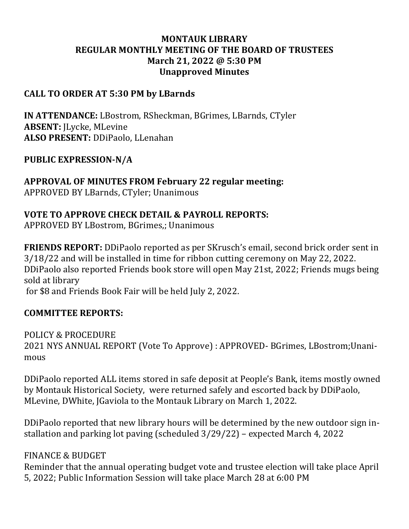# **MONTAUK LIBRARY REGULAR MONTHLY MEETING OF THE BOARD OF TRUSTEES March 21, 2022 @ 5:30 PM Unapproved Minutes**

#### **CALL TO ORDER AT 5:30 PM by LBarnds**

**IN ATTENDANCE:** LBostrom, RSheckman, BGrimes, LBarnds, CTyler **ABSENT:** JLycke, MLevine **ALSO PRESENT:** DDiPaolo, LLenahan

# **PUBLIC EXPRESSION-N/A**

**APPROVAL OF MINUTES FROM February 22 regular meeting:** APPROVED BY LBarnds, CTyler; Unanimous

# **VOTE TO APPROVE CHECK DETAIL & PAYROLL REPORTS:**

APPROVED BY LBostrom, BGrimes,; Unanimous

**FRIENDS REPORT:** DDiPaolo reported as per SKrusch's email, second brick order sent in 3/18/22 and will be installed in time for ribbon cutting ceremony on May 22, 2022. DDiPaolo also reported Friends book store will open May 21st, 2022; Friends mugs being sold at library for \$8 and Friends Book Fair will be held July 2, 2022.

# **COMMITTEE REPORTS:**

POLICY & PROCEDURE 2021 NYS ANNUAL REPORT (Vote To Approve) : APPROVED- BGrimes, LBostrom;Unanimous

DDiPaolo reported ALL items stored in safe deposit at People's Bank, items mostly owned by Montauk Historical Society, were returned safely and escorted back by DDiPaolo, MLevine, DWhite, JGaviola to the Montauk Library on March 1, 2022.

DDiPaolo reported that new library hours will be determined by the new outdoor sign installation and parking lot paving (scheduled 3/29/22) – expected March 4, 2022

#### FINANCE & BUDGET

Reminder that the annual operating budget vote and trustee election will take place April 5, 2022; Public Information Session will take place March 28 at 6:00 PM